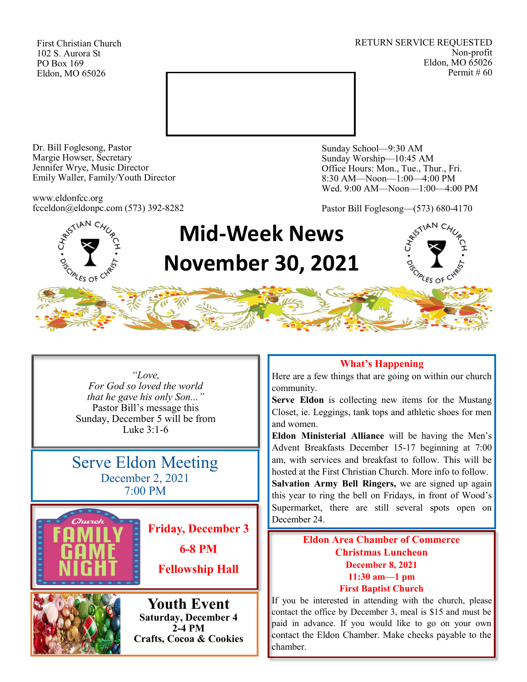First Christian Church 102 S. Aurora St PO Box 169 Eldon, MO 65026

RETURN SERVICE REQUESTED Non-profit Eldon, MO 65026 Permit # 60



Dr. Bill Foglesong, Pastor Margie Howser, Secretary Jennifer Wrye, Music Director Emily Waller, Family/Youth Director

www.eldonfcc.org fcceldon@eldonpc.com (573) 392-8282

**SCIPLES OF CT** 

Sunday School—9:30 AM Sunday Worship—10:45 AM Office Hours: Mon., Tue., Thur., Fri. 8:30 AM—Noon—1:00—4:00 PM Wed. 9:00 AM—Noon—1:00—4:00 PM

Pastor Bill Foglesong—(573) 680-4170

# **Mid-Week News November 30, 2021**

*"Love, For God so loved the world that he gave his only Son..."* Pastor Bill's message this Sunday, December 5 will be from Luke 3:1-6

Serve Eldon Meeting December 2, 2021 7:00 PM



**Friday, December 3**

**6-8 PM**

**Fellowship Hall**



**Youth Event Saturday, December 4 2-4 PM Crafts, Cocoa & Cookies**

## **What's Happening**

Here are a few things that are going on within our church community.

**Serve Eldon** is collecting new items for the Mustang Closet, ie. Leggings, tank tops and athletic shoes for men and women.

**Eldon Ministerial Alliance** will be having the Men's Advent Breakfasts December 15-17 beginning at 7:00 am, with services and breakfast to follow. This will be hosted at the First Christian Church. More info to follow.

**Salvation Army Bell Ringers,** we are signed up again this year to ring the bell on Fridays, in front of Wood's Supermarket, there are still several spots open on December 24.

# **Eldon Area Chamber of Commerce Christmas Luncheon December 8, 2021 11:30 am—1 pm First Baptist Church**

If you be interested in attending with the church, please contact the office by December 3, meal is \$15 and must be paid in advance. If you would like to go on your own contact the Eldon Chamber. Make checks payable to the chamber.